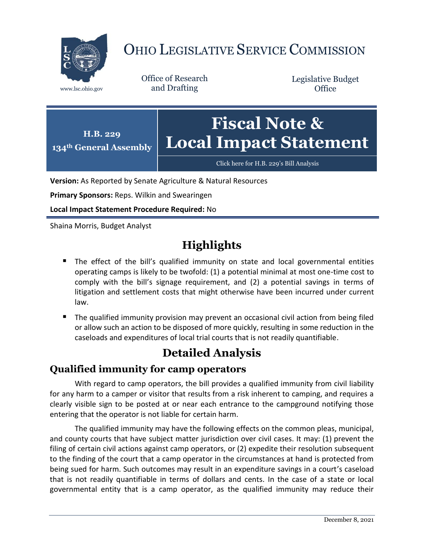

# OHIO LEGISLATIVE SERVICE COMMISSION

Office of Research www.lsc.ohio.gov and Drafting

Legislative Budget **Office** 



[Click here for H.B. 229](https://www.legislature.ohio.gov/legislation/legislation-documents?id=GA134-HB-229)'s Bill Analysis

**Version:** As Reported by Senate Agriculture & Natural Resources

**Primary Sponsors:** Reps. Wilkin and Swearingen

**Local Impact Statement Procedure Required:** No

Shaina Morris, Budget Analyst

## **Highlights**

- **The effect of the bill's qualified immunity on state and local governmental entities** operating camps is likely to be twofold: (1) a potential minimal at most one-time cost to comply with the bill's signage requirement, and (2) a potential savings in terms of litigation and settlement costs that might otherwise have been incurred under current law.
- The qualified immunity provision may prevent an occasional civil action from being filed or allow such an action to be disposed of more quickly, resulting in some reduction in the caseloads and expenditures of local trial courts that is not readily quantifiable.

## **Detailed Analysis**

#### **Qualified immunity for camp operators**

With regard to camp operators, the bill provides a qualified immunity from civil liability for any harm to a camper or visitor that results from a risk inherent to camping, and requires a clearly visible sign to be posted at or near each entrance to the campground notifying those entering that the operator is not liable for certain harm.

The qualified immunity may have the following effects on the common pleas, municipal, and county courts that have subject matter jurisdiction over civil cases. It may: (1) prevent the filing of certain civil actions against camp operators, or (2) expedite their resolution subsequent to the finding of the court that a camp operator in the circumstances at hand is protected from being sued for harm. Such outcomes may result in an expenditure savings in a court's caseload that is not readily quantifiable in terms of dollars and cents. In the case of a state or local governmental entity that is a camp operator, as the qualified immunity may reduce their